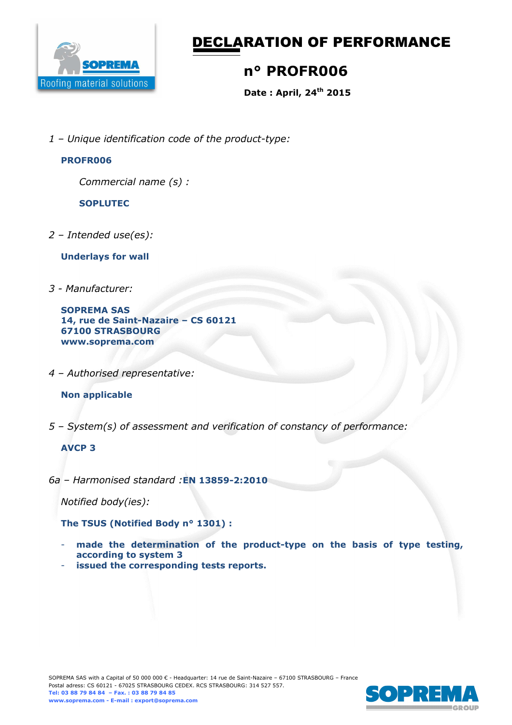

# DECLARATION OF PERFORMANCE

## **n° PROFR006**

**Date : April, 24th 2015** 

*1 – Unique identification code of the product-type:*

#### **PROFR006**

*Commercial name (s) :* 

**SOPLUTEC** 

*2 – Intended use(es):* 

**Underlays for wall** 

*3 - Manufacturer:* 

**SOPREMA SAS 14, rue de Saint-Nazaire – CS 60121 67100 STRASBOURG www.soprema.com** 

*4 – Authorised representative:* 

#### **Non applicable**

*5 – System(s) of assessment and verification of constancy of performance:* 

#### **AVCP 3**

*6a – Harmonised standard :***EN 13859-2:2010** 

*Notified body(ies):* 

**The TSUS (Notified Body n° 1301) :** 

- made the determination of the product-type on the basis of type testing, **according to system 3**
- issued the corresponding tests reports.